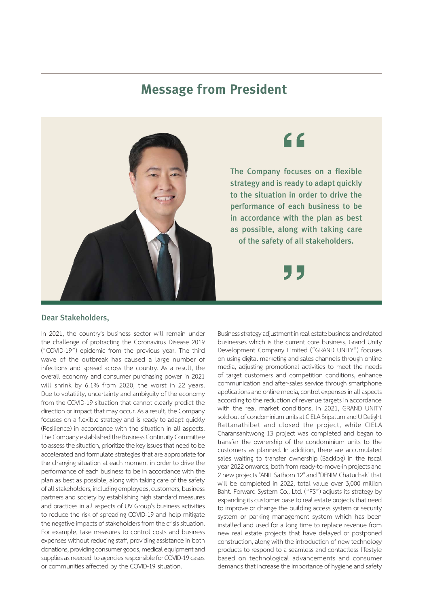## **Message from President**



## Dear Stakeholders,

In 2021, the country's business sector will remain under the challenge of protracting the Coronavirus Disease 2019 ("COVID-19") epidemic from the previous year. The third wave of the outbreak has caused a large number of infections and spread across the country. As a result, the overall economy and consumer purchasing power in 2021 will shrink by 6.1% from 2020, the worst in 22 years. Due to volatility, uncertainty and ambiguity of the economy from the COVID-19 situation that cannot clearly predict the direction or impact that may occur. As a result, the Company focuses on a flexible strategy and is ready to adapt quickly (Resilience) in accordance with the situation in all aspects. The Company established the Business Continuity Committee to assess the situation, prioritize the key issues that need to be accelerated and formulate strategies that are appropriate for the changing situation at each moment in order to drive the performance of each business to be in accordance with the plan as best as possible, along with taking care of the safety of all stakeholders, including employees, customers, business partners and society by establishing high standard measures and practices in all aspects of UV Group's business activities to reduce the risk of spreading COVID-19 and help mitigate the negative impacts of stakeholders from the crisis situation. For example, take measures to control costs and business expenses without reducing staff, providing assistance in both donations, providing consumer goods, medical equipment and supplies as needed to agencies responsible for COVID-19 cases or communities affected by the COVID-19 situation.

Business strategy adjustment in real estate business and related businesses which is the current core business, Grand Unity Development Company Limited ("GRAND UNITY") focuses on using digital marketing and sales channels through online media, adjusting promotional activities to meet the needs of target customers and competition conditions, enhance communication and after-sales service through smartphone applications and online media, control expenses in all aspects according to the reduction of revenue targets in accordance with the real market conditions. In 2021, GRAND UNITY sold out of condominium units at CIELA Sripatum and U Delight Rattanathibet and closed the project, while CIELA Charansanitwong 13 project was completed and began to transfer the ownership of the condominium units to the customers as planned. In addition, there are accumulated sales waiting to transfer ownership (Backlog) in the fiscal year 2022 onwards, both from ready-to-move-in projects and 2 new projects "ANIL Sathorn 12" and "DENIM Chatuchak" that will be completed in 2022, total value over 3,000 million Baht. Forward System Co., Ltd. ("FS") adjusts its strategy by expanding its customer base to real estate projects that need to improve or change the building access system or security system or parking management system which has been installed and used for a long time to replace revenue from new real estate projects that have delayed or postponed construction, along with the introduction of new technology products to respond to a seamless and contactless lifestyle based on technological advancements and consumer demands that increase the importance of hygiene and safety